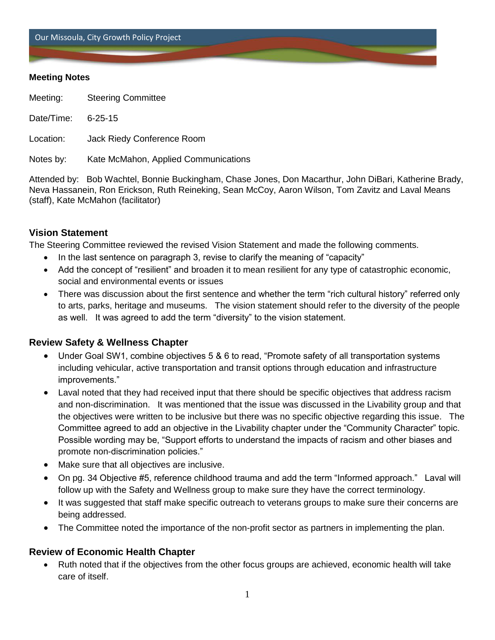Our Missoula, City Growth Policy Project

### **Meeting Notes**

Meeting: Steering Committee

Date/Time: 6-25-15

Location: Jack Riedy Conference Room

Notes by: Kate McMahon, Applied Communications

Attended by: Bob Wachtel, Bonnie Buckingham, Chase Jones, Don Macarthur, John DiBari, Katherine Brady, Neva Hassanein, Ron Erickson, Ruth Reineking, Sean McCoy, Aaron Wilson, Tom Zavitz and Laval Means (staff), Kate McMahon (facilitator)

## **Vision Statement**

The Steering Committee reviewed the revised Vision Statement and made the following comments.

- In the last sentence on paragraph 3, revise to clarify the meaning of "capacity"
- Add the concept of "resilient" and broaden it to mean resilient for any type of catastrophic economic, social and environmental events or issues
- There was discussion about the first sentence and whether the term "rich cultural history" referred only to arts, parks, heritage and museums. The vision statement should refer to the diversity of the people as well. It was agreed to add the term "diversity" to the vision statement.

## **Review Safety & Wellness Chapter**

- Under Goal SW1, combine objectives 5 & 6 to read, "Promote safety of all transportation systems including vehicular, active transportation and transit options through education and infrastructure improvements."
- Laval noted that they had received input that there should be specific objectives that address racism and non-discrimination. It was mentioned that the issue was discussed in the Livability group and that the objectives were written to be inclusive but there was no specific objective regarding this issue. The Committee agreed to add an objective in the Livability chapter under the "Community Character" topic. Possible wording may be, "Support efforts to understand the impacts of racism and other biases and promote non-discrimination policies."
- Make sure that all objectives are inclusive.
- On pg. 34 Objective #5, reference childhood trauma and add the term "Informed approach." Laval will follow up with the Safety and Wellness group to make sure they have the correct terminology.
- It was suggested that staff make specific outreach to veterans groups to make sure their concerns are being addressed.
- The Committee noted the importance of the non-profit sector as partners in implementing the plan.

## **Review of Economic Health Chapter**

 Ruth noted that if the objectives from the other focus groups are achieved, economic health will take care of itself.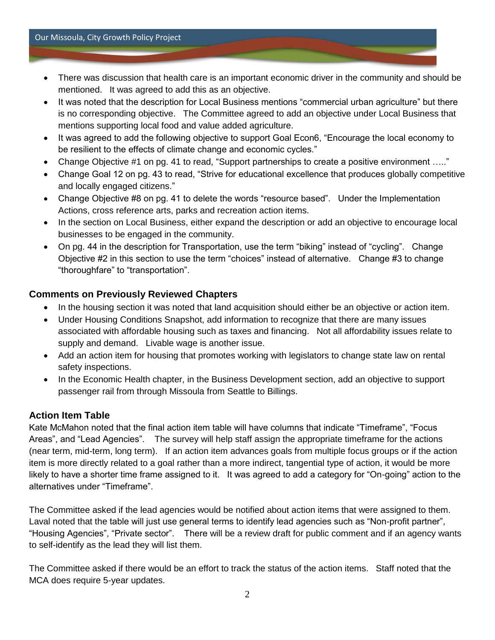#### Our Missoula, City Growth Policy Project

- There was discussion that health care is an important economic driver in the community and should be mentioned. It was agreed to add this as an objective.
- It was noted that the description for Local Business mentions "commercial urban agriculture" but there is no corresponding objective. The Committee agreed to add an objective under Local Business that mentions supporting local food and value added agriculture.
- It was agreed to add the following objective to support Goal Econ6, "Encourage the local economy to be resilient to the effects of climate change and economic cycles."
- Change Objective #1 on pg. 41 to read, "Support partnerships to create a positive environment ….."
- Change Goal 12 on pg. 43 to read, "Strive for educational excellence that produces globally competitive and locally engaged citizens."
- Change Objective #8 on pg. 41 to delete the words "resource based". Under the Implementation Actions, cross reference arts, parks and recreation action items.
- In the section on Local Business, either expand the description or add an objective to encourage local businesses to be engaged in the community.
- On pg. 44 in the description for Transportation, use the term "biking" instead of "cycling". Change Objective #2 in this section to use the term "choices" instead of alternative. Change #3 to change "thoroughfare" to "transportation".

# **Comments on Previously Reviewed Chapters**

- In the housing section it was noted that land acquisition should either be an objective or action item.
- Under Housing Conditions Snapshot, add information to recognize that there are many issues associated with affordable housing such as taxes and financing. Not all affordability issues relate to supply and demand. Livable wage is another issue.
- Add an action item for housing that promotes working with legislators to change state law on rental safety inspections.
- In the Economic Health chapter, in the Business Development section, add an objective to support passenger rail from through Missoula from Seattle to Billings.

## **Action Item Table**

Kate McMahon noted that the final action item table will have columns that indicate "Timeframe", "Focus Areas", and "Lead Agencies". The survey will help staff assign the appropriate timeframe for the actions (near term, mid-term, long term). If an action item advances goals from multiple focus groups or if the action item is more directly related to a goal rather than a more indirect, tangential type of action, it would be more likely to have a shorter time frame assigned to it. It was agreed to add a category for "On-going" action to the alternatives under "Timeframe".

The Committee asked if the lead agencies would be notified about action items that were assigned to them. Laval noted that the table will just use general terms to identify lead agencies such as "Non-profit partner", "Housing Agencies", "Private sector". There will be a review draft for public comment and if an agency wants to self-identify as the lead they will list them.

The Committee asked if there would be an effort to track the status of the action items. Staff noted that the MCA does require 5-year updates.